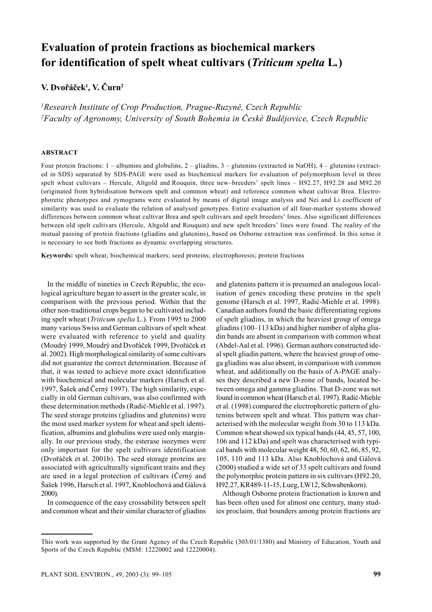# **Evaluation of protein fractions as biochemical markers for identification of spelt wheat cultivars (***Triticum spelta* **L***.***)**

**V. Dvořáček1 , V. Čurn2**

*1 Research Institute of Crop Production, Prague-Ruzyně, Czech Republic 2 Faculty of Agronomy, University of South Bohemia in České Budějovice, Czech Republic*

#### **ABSTRACT**

Four protein fractions: 1 – albumins and globulins, 2 – gliadins, 3 – glutenins (extracted in NaOH), 4 – glutenins (extracted in SDS) separated by SDS-PAGE were used as biochemical markers for evaluation of polymorphism level in three spelt wheat cultivars – Hercule, Altgold and Rouquin, three new–breeders' spelt lines – H92.27, H92.28 and M92.20 (originated from hybridisation between spelt and common wheat) and reference common wheat cultivar Brea. Electrophoretic phenotypes and zymograms were evaluated by means of digital image analysis and Nei and Li coefficient of similarity was used to evaluate the relation of analysed genotypes. Entire evaluation of all four-marker systems showed differences between common wheat cultivar Brea and spelt cultivars and spelt breeders' lines. Also significant differences between old spelt cultivars (Hercule, Altgold and Rouquin) and new spelt breeders' lines were found. The reality of the mutual passing of protein fractions (gliadins and glutenins), based on Osborne extraction was confirmed. In this sense it is necessary to see both fractions as dynamic overlapping structures.

**Keywords:** spelt wheat; biochemical markers; seed proteins; electrophoresis; protein fractions

In the middle of nineties in Czech Republic, the ecological agriculture began to assert in the greater scale, in comparison with the previous period. Within that the other non-traditional crops began to be cultivated including spelt wheat (*Triticum spelta* L.). From 1995 to 2000 many various Swiss and German cultivars of spelt wheat were evaluated with reference to yield and quality (Moudrý 1999, Moudrý and Dvořáček 1999, Dvořáček et al. 2002). High morphological similarity of some cultivars did not guarantee the correct determination. Because of that, it was tested to achieve more exact identification with biochemical and molecular markers (Harsch et al. 1997, Šašek and Černý 1997). The high similarity, especially in old German cultivars, was also confirmed with these determination methods (Radić-Miehle et al. 1997). The seed storage proteins (gliadins and glutenins) were the most used marker system for wheat and spelt identification, albumins and globulins were used only marginally. In our previous study, the esterase isozymes were only important for the spelt cultivars identification (Dvořáček et al. 2001b). The seed storage proteins are associated with agriculturally significant traits and they are used in a legal protection of cultivars (Černý and Šašek 1996, Harsch et al. 1997, Knoblochová and Gálová 2000).

In consequence of the easy crossability between spelt and common wheat and their similar character of gliadins and glutenins pattern it is presumed an analogous localisation of genes encoding these proteins in the spelt genome (Harsch et al. 1997, Radić-Miehle et al. 1998). Canadian authors found the basic differentiating regions of spelt gliadins, in which the heaviest group of omega gliadins (100–113 kDa) and higher number of alpha gliadin bands are absent in comparison with common wheat (Abdel-Aal et al. 1996). German authors constructed ideal spelt gliadin pattern, where the heaviest group of omega gliadins was also absent, in comparison with common wheat, and additionally on the basis of A-PAGE analyses they described a new D-zone of bands, located between omega and gamma gliadins. That D-zone was not found in common wheat (Harsch et al. 1997). Radić-Miehle et al. (1998) compared the electrophoretic pattern of glutenins between spelt and wheat. This pattern was characterised with the molecular weight from 30 to 113 kDa. Common wheat showed six typical bands (44, 45, 57, 100, 106 and 112 kDa) and spelt was characterised with typical bands with molecular weight 48, 50, 60, 62, 66, 85, 92, 105, 110 and 113 kDa. Also Knoblochová and Gálová (2000) studied a wide set of 33 spelt cultivars and found the polymorphic protein pattern in six cultivars (H92.20, H92.27, KR489-11-15, Lueg, LW12, Schwabenkorn).

Although Osborne protein fractionation is known and has been often used for almost one century, many studies proclaim, that bounders among protein fractions are

This work was supported by the Grant Agency of the Czech Republic (303/01/1380) and Ministry of Education, Youth and Sports of the Czech Republic (MSM: 12220002 and 12220004).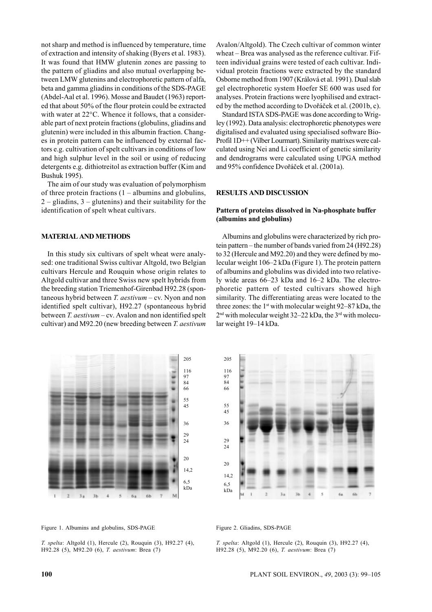not sharp and method is influenced by temperature, time of extraction and intensity of shaking (Byers et al. 1983). It was found that HMW glutenin zones are passing to the pattern of gliadins and also mutual overlapping between LMW glutenins and electrophoretic pattern of alfa, beta and gamma gliadins in conditions of the SDS-PAGE (Abdel-Aal et al. 1996). Mosse and Baudet (1963) reported that about 50% of the flour protein could be extracted with water at 22<sup>o</sup>C. Whence it follows, that a considerable part of next protein fractions (globulins, gliadins and glutenin) were included in this albumin fraction. Changes in protein pattern can be influenced by external factors e.g. cultivation of spelt cultivars in conditions of low and high sulphur level in the soil or using of reducing detergents e.g. dithiotreitol as extraction buffer (Kim and Bushuk 1995).

The aim of our study was evaluation of polymorphism of three protein fractions  $(1 - \text{albumins and globulins})$ ,  $2$  – gliadins,  $3$  – glutenins) and their suitability for the identification of spelt wheat cultivars.

### **MATERIAL AND METHODS**

In this study six cultivars of spelt wheat were analysed: one traditional Swiss cultivar Altgold, two Belgian cultivars Hercule and Rouquin whose origin relates to Altgold cultivar and three Swiss new spelt hybrids from the breeding station Triemenhof-Girenbad H92.28 (spontaneous hybrid between *T. aestivum* – cv. Nyon and non identified spelt cultivar), H92.27 (spontaneous hybrid between *T. aestivum* – cv. Avalon and non identified spelt cultivar) and M92.20 (new breeding between *T. aestivum*



Figure 1. Albumins and globulins, SDS-PAGE

Avalon/Altgold). The Czech cultivar of common winter wheat – Brea was analysed as the reference cultivar. Fifteen individual grains were tested of each cultivar. Individual protein fractions were extracted by the standard Osborne method from 1907 (Králová et al. 1991). Dual slab gel electrophoretic system Hoefer SE 600 was used for analyses. Protein fractions were lyophilised and extracted by the method according to Dvořáček et al. (2001b, c).

Standard ISTA SDS-PAGE was done according to Wrigley (1992). Data analysis: electrophoretic phenotypes were digitalised and evaluated using specialised software Bio-Profil 1D++ (Vilber Lourmart). Similarity matrixes were calculated using Nei and Li coefficient of genetic similarity and dendrograms were calculated using UPGA method and 95% confidence Dvořáček et al. (2001a).

### **RESULTS AND DISCUSSION**

# **Pattern of proteins dissolved in Na-phosphate buffer (albumins and globulins)**

Albumins and globulins were characterized by rich protein pattern – the number of bands varied from 24 (H92.28) to 32 (Hercule and M92.20) and they were defined by molecular weight 106–2 kDa (Figure 1). The protein pattern of albumins and globulins was divided into two relatively wide areas 66–23 kDa and 16–2 kDa. The electrophoretic pattern of tested cultivars showed high similarity. The differentiating areas were located to the three zones: the  $1<sup>st</sup>$  with molecular weight 92–87 kDa, the  $2<sup>nd</sup>$  with molecular weight 32–22 kDa, the  $3<sup>rd</sup>$  with molecular weight 19–14 kDa.



#### Figure 2. Gliadins, SDS-PAGE

*T. spelta*: Altgold (1), Hercule (2), Rouquin (3), H92.27 (4), H92.28 (5), M92.20 (6), *T. aestivum*: Brea (7)

*T. spelta*: Altgold (1), Hercule (2), Rouquin (3), H92.27 (4), H92.28 (5), M92.20 (6), *T. aestivum*: Brea (7)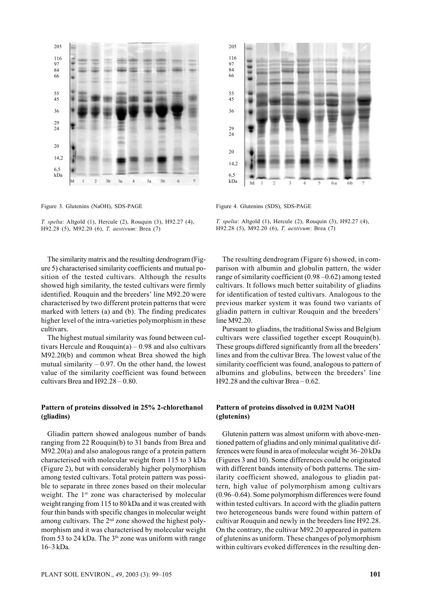

Figure 3. Glutenins (NaOH), SDS-PAGE

*T. spelta*: Altgold (1), Hercule (2), Rouquin (3), H92.27 (4), H92.28 (5), M92.20 (6), *T. aestivum*: Brea (7)

The similarity matrix and the resulting dendrogram (Figure 5) characterised similarity coefficients and mutual position of the tested cultivars. Although the results showed high similarity, the tested cultivars were firmly identified. Rouquin and the breeders' line M92.20 were characterised by two different protein patterns that were marked with letters (a) and (b). The finding predicates higher level of the intra-varieties polymorphism in these cultivars.

The highest mutual similarity was found between cultivars Hercule and Rouquin(a)  $-0.98$  and also cultivars M92.20(b) and common wheat Brea showed the high mutual similarity  $-0.97$ . On the other hand, the lowest value of the similarity coefficient was found between cultivars Brea and H92.28 – 0.80.

# **Pattern of proteins dissolved in 25% 2-chlorethanol (gliadins)**

Gliadin pattern showed analogous number of bands ranging from 22 Rouquin(b) to 31 bands from Brea and M92.20(a) and also analogous range of a protein pattern characterised with molecular weight from 115 to 3 kDa (Figure 2), but with considerably higher polymorphism among tested cultivars. Total protein pattern was possible to separate in three zones based on their molecular weight. The 1<sup>st</sup> zone was characterised by molecular weight ranging from 115 to 80 kDa and it was created with four thin bands with specific changes in molecular weight among cultivars. The  $2<sup>nd</sup>$  zone showed the highest polymorphism and it was characterised by molecular weight from 53 to 24 kDa. The  $3<sup>th</sup>$  zone was uniform with range 16–3 kDa.



Figure 4. Glutenins (SDS), SDS-PAGE

*T. spelta*: Altgold (1), Hercule (2), Rouquin (3), H92.27 (4), H92.28 (5), M92.20 (6), *T. aestivum*: Brea (7)

The resulting dendrogram (Figure 6) showed, in comparison with albumin and globulin pattern, the wider range of similarity coefficient (0.98 –0.62) among tested cultivars. It follows much better suitability of gliadins for identification of tested cultivars. Analogous to the previous marker system it was found two variants of gliadin pattern in cultivar Rouquin and the breeders' line M92.20.

Pursuant to gliadins, the traditional Swiss and Belgium cultivars were classified together except Rouquin(b). These groups differed significantly from all the breeders' lines and from the cultivar Brea. The lowest value of the similarity coefficient was found, analogous to pattern of albumins and globulins, between the breeders' line H92.28 and the cultivar Brea – 0.62.

# **Pattern of proteins dissolved in 0.02M NaOH (glutenins)**

Glutenin pattern was almost uniform with above-mentioned pattern of gliadins and only minimal qualitative differences were found in area of molecular weight 36–20 kDa (Figures 3 and 10). Some differences could be originated with different bands intensity of both patterns. The similarity coefficient showed, analogous to gliadin pattern, high value of polymorphism among cultivars (0.96–0.64). Some polymorphism differences were found within tested cultivars. In accord with the gliadin pattern two heterogeneous bands were found within pattern of cultivar Rouquin and newly in the breeders line H92.28. On the contrary, the cultivar M92.20 appeared in pattern of glutenins as uniform. These changes of polymorphism within cultivars evoked differences in the resulting den-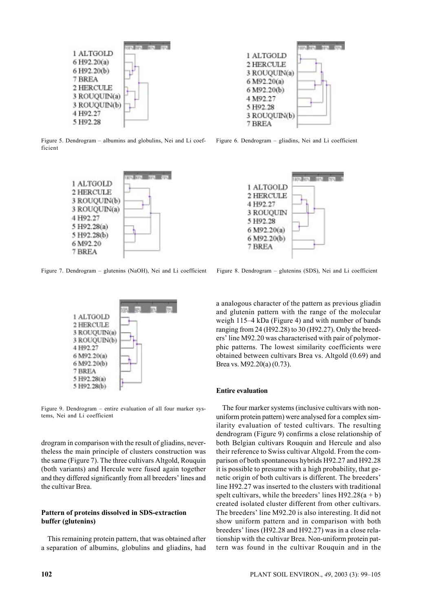

Figure 5. Dendrogram – albumins and globulins, Nei and Li coefficient



Figure 7. Dendrogram – glutenins (NaOH), Nei and Li coefficient Figure 8. Dendrogram – glutenins (SDS), Nei and Li coefficient



Figure 9. Dendrogram – entire evaluation of all four marker systems, Nei and Li coefficient

drogram in comparison with the result of gliadins, nevertheless the main principle of clusters construction was the same (Figure 7). The three cultivars Altgold, Rouquin (both variants) and Hercule were fused again together and they differed significantly from all breeders' lines and the cultivar Brea.

# **Pattern of proteins dissolved in SDS-extraction buffer (glutenins)**

This remaining protein pattern, that was obtained after a separation of albumins, globulins and gliadins, had



Figure 6. Dendrogram – gliadins, Nei and Li coefficient



a analogous character of the pattern as previous gliadin and glutenin pattern with the range of the molecular weigh 115–4 kDa (Figure 4) and with number of bands ranging from 24 (H92.28) to 30 (H92.27). Only the breeders' line M92.20 was characterised with pair of polymorphic patterns. The lowest similarity coefficients were obtained between cultivars Brea vs. Altgold (0.69) and Brea vs. M92.20(a) (0.73).

#### **Entire evaluation**

The four marker systems (inclusive cultivars with nonuniform protein pattern) were analysed for a complex similarity evaluation of tested cultivars. The resulting dendrogram (Figure 9) confirms a close relationship of both Belgian cultivars Rouquin and Hercule and also their reference to Swiss cultivar Altgold. From the comparison of both spontaneous hybrids H92.27 and H92.28 it is possible to presume with a high probability, that genetic origin of both cultivars is different. The breeders' line H92.27 was inserted to the clusters with traditional spelt cultivars, while the breeders' lines  $H92.28(a + b)$ created isolated cluster different from other cultivars. The breeders' line M92.20 is also interesting. It did not show uniform pattern and in comparison with both breeders' lines (H92.28 and H92.27) was in a close relationship with the cultivar Brea. Non-uniform protein pattern was found in the cultivar Rouquin and in the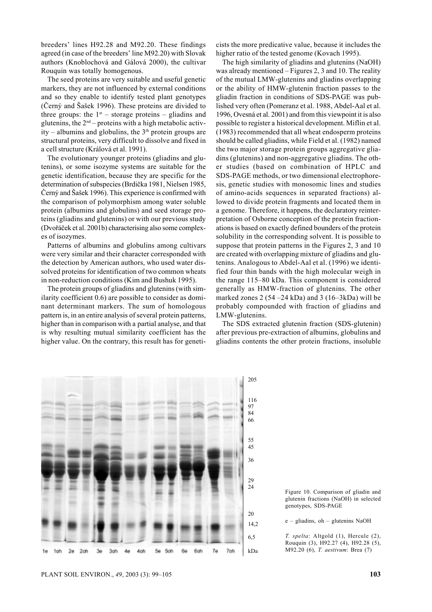breeders' lines H92.28 and M92.20. These findings agreed (in case of the breeders' line M92.20) with Slovak authors (Knoblochová and Gálová 2000), the cultivar Rouquin was totally homogenous.

The seed proteins are very suitable and useful genetic markers, they are not influenced by external conditions and so they enable to identify tested plant genotypes (Černý and Šašek 1996). These proteins are divided to three groups: the  $1<sup>st</sup>$  – storage proteins – gliadins and glutenins, the  $2<sup>nd</sup>$  – proteins with a high metabolic activity – albumins and globulins, the  $3<sup>th</sup>$  protein groups are structural proteins, very difficult to dissolve and fixed in a cell structure (Králová et al. 1991).

The evolutionary younger proteins (gliadins and glutenins), or some isozyme systems are suitable for the genetic identification, because they are specific for the determination of subspecies (Brdička 1981, Nielsen 1985, Černý and Šašek 1996). This experience is confirmed with the comparison of polymorphism among water soluble protein (albumins and globulins) and seed storage proteins (gliadins and glutenins) or with our previous study (Dvořáček et al. 2001b) characterising also some complexes of isozymes.

Patterns of albumins and globulins among cultivars were very similar and their character corresponded with the detection by American authors, who used water dissolved proteins for identification of two common wheats in non-reduction conditions (Kim and Bushuk 1995).

The protein groups of gliadins and glutenins (with similarity coefficient 0.6) are possible to consider as dominant determinant markers. The sum of homologous pattern is, in an entire analysis of several protein patterns, higher than in comparison with a partial analyse, and that is why resulting mutual similarity coefficient has the higher value. On the contrary, this result has for geneticists the more predicative value, because it includes the higher ratio of the tested genome (Kovach 1995).

The high similarity of gliadins and glutenins (NaOH) was already mentioned – Figures 2, 3 and 10. The reality of the mutual LMW-glutenins and gliadins overlapping or the ability of HMW-glutenin fraction passes to the gliadin fraction in conditions of SDS-PAGE was published very often (Pomeranz et al. 1988, Abdel-Aal et al. 1996, Ovesná et al. 2001) and from this viewpoint it is also possible to register a historical development. Miflin et al. (1983) recommended that all wheat endosperm proteins should be called gliadins, while Field et al. (1982) named the two major storage protein groups aggregative gliadins (glutenins) and non-aggregative gliadins. The other studies (based on combination of HPLC and SDS-PAGE methods, or two dimensional electrophoresis, genetic studies with monosomic lines and studies of amino-acids sequences in separated fractions) allowed to divide protein fragments and located them in a genome. Therefore, it happens, the declaratory reinterpretation of Osborne conception of the protein fractionations is based on exactly defined bounders of the protein solubility in the corresponding solvent. It is possible to suppose that protein patterns in the Figures 2, 3 and 10 are created with overlapping mixture of gliadins and glutenins. Analogous to Abdel-Aal et al. (1996) we identified four thin bands with the high molecular weigh in the range 115–80 kDa. This component is considered generally as HMW-fraction of glutenins. The other marked zones 2 (54 –24 kDa) and 3 (16–3kDa) will be probably compounded with fraction of gliadins and LMW-glutenins.

The SDS extracted glutenin fraction (SDS-glutenin) after previous pre-extraction of albumins, globulins and gliadins contents the other protein fractions, insoluble



Figure 10. Comparison of gliadin and glutenin fractions (NaOH) in selected genotypes, SDS-PAGE

e – gliadins, oh – glutenins NaOH

*T. spelta*: Altgold (1), Hercule (2), Rouquin (3), H92.27 (4), H92.28 (5), M92.20 (6), *T. aestivum*: Brea (7)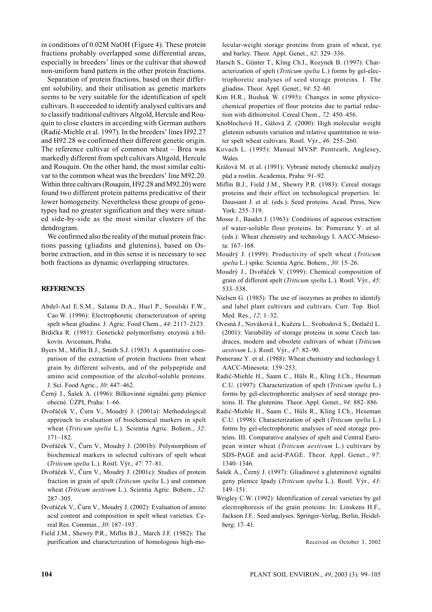in conditions of 0.02M NaOH (Figure 4). These protein fractions probably overlapped some differential areas, especially in breeders' lines or the cultivar that showed non-uniform band pattern in the other protein fractions.

Separation of protein fractions, based on their different solubility, and their utilisation as genetic markers seems to be very suitable for the identification of spelt cultivars. It succeeded to identify analysed cultivars and to classify traditional cultivars Altgold, Hercule and Rouquin to close clusters in according with German authors (Radić-Miehle et al. 1997). In the breeders' lines H92.27 and H92.28 we confirmed their different genetic origin. The reference cultivar of common wheat – Brea was markedly different from spelt cultivars Altgold, Hercule and Rouquin. On the other hand, the most similar cultivar to the common wheat was the breeders' line M92.20. Within three cultivars (Rouquin, H92.28 and M92.20) were found two different protein patterns predicative of their lower homogeneity. Nevertheless these groups of genotypes had no greater signification and they were situated side-by-side as the most similar clusters of the dendrogram.

We confirmed also the reality of the mutual protein fractions passing (gliadins and glutenins), based on Osborne extraction, and in this sense it is necessary to see both fractions as dynamic overlapping structures.

### **REFERENCES**

- Abdel-Aal E.S.M., Salama D.A., Hucl P., Sosulski F.W., Cao W. (1996): Electrophoretic characterization of spring spelt wheat gliadins. J. Agric. Food Chem., *44*: 2117–2123.
- Brdička R. (1981): Genetické polymorfismy enzymů a bílkovin. Avicenum, Praha.
- Byers M., Miflin B.J., Smith S.J. (1983): A quantitative comparison of the extraction of protein fractions from wheat grain by different solvents, and of the polypeptide and amino acid composition of the alcohol-soluble proteins. J. Sci. Food Agric., *30*: 447–462.
- Černý J., Šašek A. (1996): Bílkovinné signální geny pšenice obecné. ÚZPI, Praha: 1–66.
- Dvořáček V., Čurn V., Moudrý J. (2001a): Methodological approach to evaluation of biochemical markers in spelt wheat (*Triticum spelta* L.). Scientia Agric. Bohem., *32*: 171–182.
- Dvořáček V., Čurn V., Moudrý J. (2001b): Polymorphism of biochemical markers in selected cultivars of spelt wheat (*Triticum spelta* L.). Rostl. Výr., *47*: 77–81.
- Dvořáček V., Čurn V., Moudrý J. (2001c): Studies of protein fraction in grain of spelt (*Triticum spelta* L.) and common wheat (*Triticum aestivum* L.). Scientia Agric. Bohem., *32*: 287–305.
- Dvořáček V., Čurn V., Moudrý J. (2002): Evaluation of amino acid content and composition in spelt wheat varieties. Cereal Res. Commun., *30*: 187–193 .
- Field J.M., Shewry P.R., Miflin B.J., March J.F. (1982): The purification and characterization of homologous high-mo-

lecular-weight storage proteins from grain of wheat, rye and barley. Theor. Appl. Genet., *62*: 329–336.

- Harsch S., Günter T., Kling Ch.I., Rozynek B. (1997): Characterization of spelt (*Triticum spelta* L.) forms by gel-electrophoretic analyses of seed storage proteins. I. The gliadins. Theor. Appl. Genet., *94*: 52–60.
- Kim H.R., Bushuk W. (1995): Changes in some physicochemical properties of flour proteins due to partial reduction with dithiotreitol. Cereal Chem., *72*: 450–456.
- Knoblochová H., Gálová Z. (2000): High molecular weight glutenin subunits variation and relative quantitation in winter spelt wheat cultivars. Rostl. Výr., *46*: 255–260.
- Kovach L. (1995): Manual MVSP. Pentreath, Anglesey, Wales.
- Králová M. et al. (1991): Vybrané metody chemické analýzy půd a rostlin. Academia, Praha: 91–92.
- Miflin B.J., Field J.M., Shewry P.R. (1983): Cereal storage proteins and their effect on technological properties. In: Daussant J. et al. (eds.): Seed proteins. Acad. Press, New York: 255–319.
- Mosse J., Baudet J. (1963): Conditions of aqueous extraction of water-soluble flour proteins. In: Pomeranz Y. et al. (eds.): Wheat chemistry and technology I. AACC-Minesota: 167–168.
- Moudrý J. (1999): Productivity of spelt wheat (*Triticum spelta* L.) spike. Scientia Agric. Bohem., *30*: 15–26.
- Moudrý J., Dvořáček V. (1999): Chemical composition of grain of different spelt (*Triticum spelta* L.). Rostl. Výr., *45*: 533–538.
- Nielsen G. (1985): The use of isozymes as probes to identify and label plant cultivars and cultivars. Curr. Top. Biol. Med. Res., *12*: 1–32.
- Ovesná J., Nováková I., Kučera L., Svobodová S., Dotlačil L. (2001): Variability of storage proteins in some Czech landraces, modern and obsolete cultivars of wheat (*Triticum aestivum* L.). Rostl. Výr., *47*: 82–90.
- Pomeranz Y. et al. (1988): Wheat chemistry and technology I. AACC-Minesota: 159–253.
- Radić-Miehle H., Saam C., Hüls R., Kling I.Ch., Heseman C.U. (1997): Characterization of spelt (*Triticum spelta* L.) forms by gel-electrophoretic analyses of seed storage proteins. II. The glutenins. Theor. Appl. Genet., *94*: 882–886.
- Radić-Miehle H., Saam C., Hüls R., Kling I.Ch., Heseman C.U. (1998): Characterization of spelt (*Triticum spelta* L.) forms by gel-electrophoretic analyses of seed storage proteins. III. Comparative analyses of spelt and Central European winter wheat (*Triticum aestivum* L.) cultivars by SDS-PAGE and acid-PAGE. Theor. Appl. Genet., *97*: 1340–1346.
- Šašek A., Černý J. (1997): Gliadinové a gluteninové signální geny pšenice špady (*Triticum spelta* L.). Rostl. Výr., *43*: 149–151.
- Wrigley C.W. (1992): Identification of cereal varieties by gel electrophoresis of the grain proteins. In: Linskens H.F., Jackson J.F.: Seed analyses. Springer-Verlag, Berlin, Heidelberg: 17–41.

Received on October 3, 2002